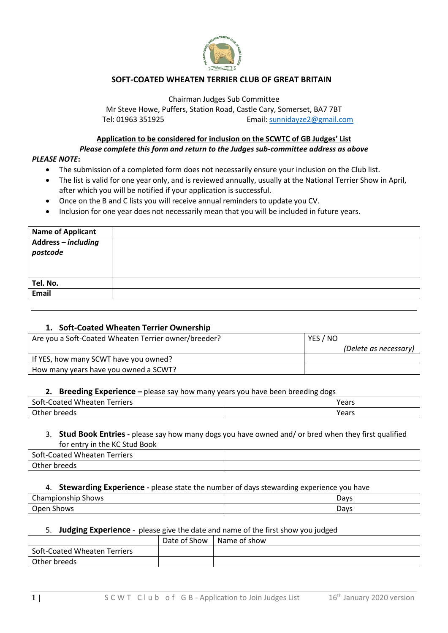

Chairman Judges Sub Committee Mr Steve Howe, Puffers, Station Road, Castle Cary, Somerset, BA7 7BT Tel: 01963 351925 Email: [sunnidayze2@gmail.com](mailto:sunnidayze2@gmail.com)

### **Application to be considered for inclusion on the SCWTC of GB Judges' List** *Please complete this form and return to the Judges sub-committee address as above*

#### *PLEASE NOTE***:**

- The submission of a completed form does not necessarily ensure your inclusion on the Club list.
- The list is valid for one year only, and is reviewed annually, usually at the National Terrier Show in April, after which you will be notified if your application is successful.
- Once on the B and C lists you will receive annual reminders to update you CV.
- Inclusion for one year does not necessarily mean that you will be included in future years.

| <b>Name of Applicant</b>      |  |
|-------------------------------|--|
| Address-including<br>postcode |  |
| Tel. No.                      |  |
| Email                         |  |

### **1. Soft-Coated Wheaten Terrier Ownership**

| Are you a Soft-Coated Wheaten Terrier owner/breeder? | YES / NO              |
|------------------------------------------------------|-----------------------|
|                                                      | (Delete as necessary) |
| If YES, how many SCWT have you owned?                |                       |
| How many years have you owned a SCWT?                |                       |

#### **2. Breeding Experience –** please say how many years you have been breeding dogs

| ' Wheaten<br>Soft-C<br>Ferriers<br>Coated ' | Years |
|---------------------------------------------|-------|
| Other                                       | Years |
| : breeds                                    |       |

#### 3. **Stud Book Entries -** please say how many dogs you have owned and/ or bred when they first qualified for entry in the KC Stud Book

| ' Wheaten<br>Soft-Coated<br>Ferriers |  |
|--------------------------------------|--|
| Other<br>. breeds                    |  |

#### 4. **Stewarding Experience -** please state the number of days stewarding experience you have

| -<br>Championchin<br>Shows<br>Championship | Days |
|--------------------------------------------|------|
| -<br>Oper<br>Shows                         | Days |

#### 5. **Judging Experience** - please give the date and name of the first show you judged

|                              | Date of Show | Name of show |
|------------------------------|--------------|--------------|
| Soft-Coated Wheaten Terriers |              |              |
| Other breeds                 |              |              |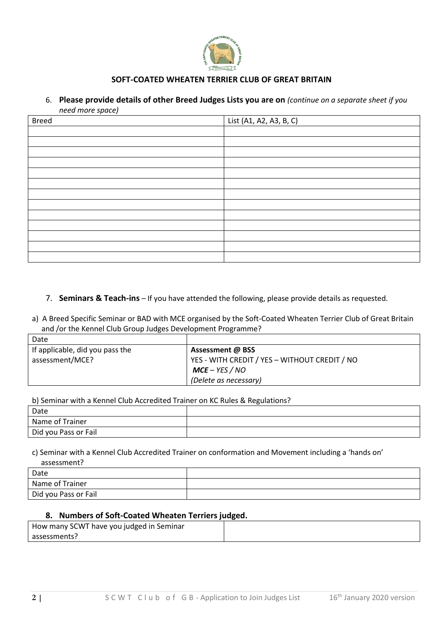

# 6. **Please provide details of other Breed Judges Lists you are on** *(continue on a separate sheet if you*

*need more space)*

| meda more space,<br><b>Breed</b> | List (A1, A2, A3, B, C) |
|----------------------------------|-------------------------|
|                                  |                         |
|                                  |                         |
|                                  |                         |
|                                  |                         |
|                                  |                         |
|                                  |                         |
|                                  |                         |
|                                  |                         |
|                                  |                         |
|                                  |                         |
|                                  |                         |
|                                  |                         |
|                                  |                         |

## 7. **Seminars & Teach-ins** – If you have attended the following, please provide details as requested.

a) A Breed Specific Seminar or BAD with MCE organised by the Soft-Coated Wheaten Terrier Club of Great Britain and /or the Kennel Club Group Judges Development Programme?

| Date                            |                                               |
|---------------------------------|-----------------------------------------------|
| If applicable, did you pass the | <b>Assessment @ BSS</b>                       |
| assessment/MCE?                 | YES - WITH CREDIT / YES - WITHOUT CREDIT / NO |
|                                 | $MCE - YES / NO$                              |
|                                 | (Delete as necessary)                         |

### b) Seminar with a Kennel Club Accredited Trainer on KC Rules & Regulations?

| Date                 |  |
|----------------------|--|
| Name of Trainer      |  |
| Did you Pass or Fail |  |

# c) Seminar with a Kennel Club Accredited Trainer on conformation and Movement including a 'hands on'

assessment?

| Date                 |  |
|----------------------|--|
| Name of Trainer      |  |
| Did you Pass or Fail |  |

## **8. Numbers of Soft-Coated Wheaten Terriers judged.**

| How many SCWT have you judged in Seminar |  |
|------------------------------------------|--|
| assessments?                             |  |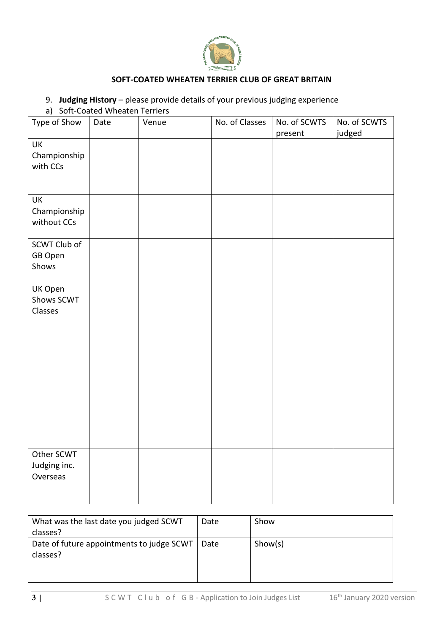

# 9. **Judging History** – please provide details of your previous judging experience

a) Soft-Coated Wheaten Terriers

| Type of Show                             | Date | Venue | No. of Classes | No. of SCWTS<br>present | No. of SCWTS<br>judged |
|------------------------------------------|------|-------|----------------|-------------------------|------------------------|
| <b>UK</b><br>Championship<br>with CCs    |      |       |                |                         |                        |
| <b>UK</b><br>Championship<br>without CCs |      |       |                |                         |                        |
| SCWT Club of<br>GB Open<br>Shows         |      |       |                |                         |                        |
| UK Open<br>Shows SCWT<br>Classes         |      |       |                |                         |                        |
| Other SCWT<br>Judging inc.<br>Overseas   |      |       |                |                         |                        |

| What was the last date you judged SCWT<br>classes?    | Date | Show    |
|-------------------------------------------------------|------|---------|
| Date of future appointments to judge SCWT<br>classes? | Date | Show(s) |